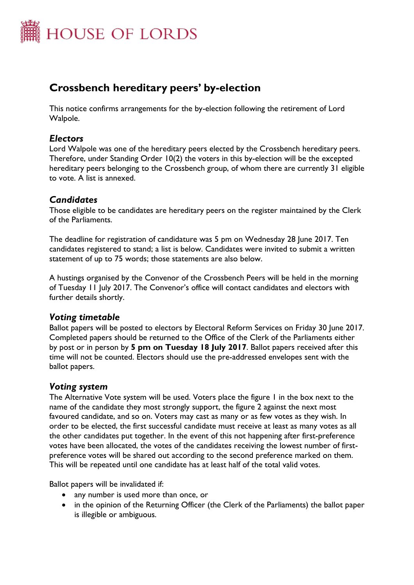

# **Crossbench hereditary peers' by-election**

This notice confirms arrangements for the by-election following the retirement of Lord Walpole.

#### *Electors*

Lord Walpole was one of the hereditary peers elected by the Crossbench hereditary peers. Therefore, under Standing Order 10(2) the voters in this by-election will be the excepted hereditary peers belonging to the Crossbench group, of whom there are currently 31 eligible to vote. A list is annexed.

### *Candidates*

Those eligible to be candidates are hereditary peers on the register maintained by the Clerk of the Parliaments.

The deadline for registration of candidature was 5 pm on Wednesday 28 June 2017. Ten candidates registered to stand; a list is below. Candidates were invited to submit a written statement of up to 75 words; those statements are also below.

A hustings organised by the Convenor of the Crossbench Peers will be held in the morning of Tuesday 11 July 2017. The Convenor's office will contact candidates and electors with further details shortly.

#### *Voting timetable*

Ballot papers will be posted to electors by Electoral Reform Services on Friday 30 June 2017. Completed papers should be returned to the Office of the Clerk of the Parliaments either by post or in person by **5 pm on Tuesday 18 July 2017**. Ballot papers received after this time will not be counted. Electors should use the pre-addressed envelopes sent with the ballot papers.

#### *Voting system*

The Alternative Vote system will be used. Voters place the figure 1 in the box next to the name of the candidate they most strongly support, the figure 2 against the next most favoured candidate, and so on. Voters may cast as many or as few votes as they wish. In order to be elected, the first successful candidate must receive at least as many votes as all the other candidates put together. In the event of this not happening after first-preference votes have been allocated, the votes of the candidates receiving the lowest number of firstpreference votes will be shared out according to the second preference marked on them. This will be repeated until one candidate has at least half of the total valid votes.

Ballot papers will be invalidated if:

- any number is used more than once, or
- in the opinion of the Returning Officer (the Clerk of the Parliaments) the ballot paper is illegible or ambiguous.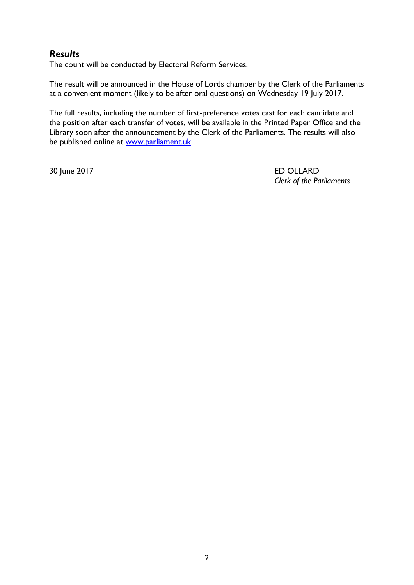## *Results*

The count will be conducted by Electoral Reform Services.

The result will be announced in the House of Lords chamber by the Clerk of the Parliaments at a convenient moment (likely to be after oral questions) on Wednesday 19 July 2017.

The full results, including the number of first-preference votes cast for each candidate and the position after each transfer of votes, will be available in the Printed Paper Office and the Library soon after the announcement by the Clerk of the Parliaments. The results will also be published online at [www.parliament.uk](http://www.parliament.uk/)

30 June 2017 ED OLLARD *Clerk of the Parliaments*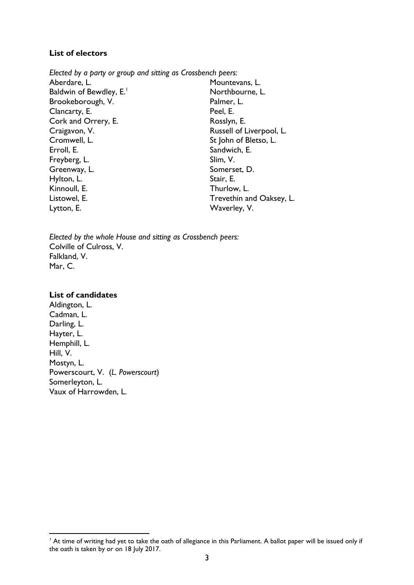#### **List of electors**

*Elected by a party or group and sitting as Crossbench peers:* Aberdare, L. Baldwin of Bewdley, E.<sup>1</sup> Brookeborough, V. Clancarty, E. Cork and Orrery, E. Craigavon, V. Cromwell, L. Erroll, E. Freyberg, L. Greenway, L. Hylton, L. Kinnoull, E. Listowel, E. Lytton, E. Mountevans, L. Northbourne, L. Palmer, L. Peel, E. Rosslyn, E. Russell of Liverpool, L. St John of Bletso, L. Sandwich, E. Slim, V. Somerset, D. Stair, E. Thurlow, L. Trevethin and Oaksey, L. Waverley, V.

*Elected by the whole House and sitting as Crossbench peers:* Colville of Culross, V. Falkland, V. Mar, C.

#### **List of candidates**

 $\overline{a}$ 

Aldington, L. Cadman, L. Darling, L. Hayter, L. Hemphill, L. Hill, V. Mostyn, L. Powerscourt, V. (*L. Powerscourt*) Somerleyton, L. Vaux of Harrowden, L.

 $<sup>1</sup>$  At time of writing had yet to take the oath of allegiance in this Parliament. A ballot paper will be issued only if</sup> the oath is taken by or on 18 July 2017.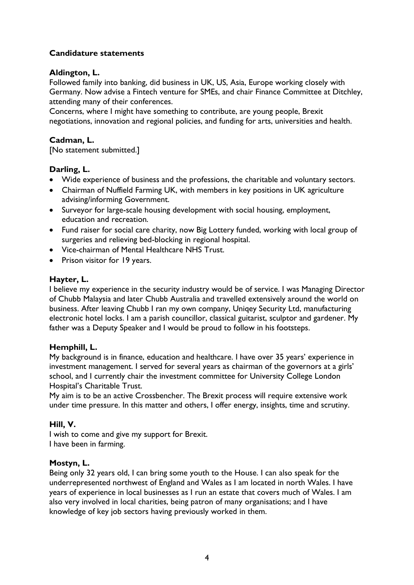## **Candidature statements**

### **Aldington, L.**

Followed family into banking, did business in UK, US, Asia, Europe working closely with Germany. Now advise a Fintech venture for SMEs, and chair Finance Committee at Ditchley, attending many of their conferences.

Concerns, where I might have something to contribute, are young people, Brexit negotiations, innovation and regional policies, and funding for arts, universities and health.

### **Cadman, L.**

[No statement submitted.]

### **Darling, L.**

- Wide experience of business and the professions, the charitable and voluntary sectors.
- Chairman of Nuffield Farming UK, with members in key positions in UK agriculture advising/informing Government.
- Surveyor for large-scale housing development with social housing, employment, education and recreation.
- Fund raiser for social care charity, now Big Lottery funded, working with local group of surgeries and relieving bed-blocking in regional hospital.
- Vice-chairman of Mental Healthcare NHS Trust.
- Prison visitor for 19 years.

### **Hayter, L.**

I believe my experience in the security industry would be of service. I was Managing Director of Chubb Malaysia and later Chubb Australia and travelled extensively around the world on business. After leaving Chubb I ran my own company, Uniqey Security Ltd, manufacturing electronic hotel locks. I am a parish councillor, classical guitarist, sculptor and gardener. My father was a Deputy Speaker and I would be proud to follow in his footsteps.

## **Hemphill, L.**

My background is in finance, education and healthcare. I have over 35 years' experience in investment management. I served for several years as chairman of the governors at a girls' school, and I currently chair the investment committee for University College London Hospital's Charitable Trust.

My aim is to be an active Crossbencher. The Brexit process will require extensive work under time pressure. In this matter and others, I offer energy, insights, time and scrutiny.

## **Hill, V.**

I wish to come and give my support for Brexit. I have been in farming.

#### **Mostyn, L.**

Being only 32 years old, I can bring some youth to the House. I can also speak for the underrepresented northwest of England and Wales as I am located in north Wales. I have years of experience in local businesses as I run an estate that covers much of Wales. I am also very involved in local charities, being patron of many organisations; and I have knowledge of key job sectors having previously worked in them.